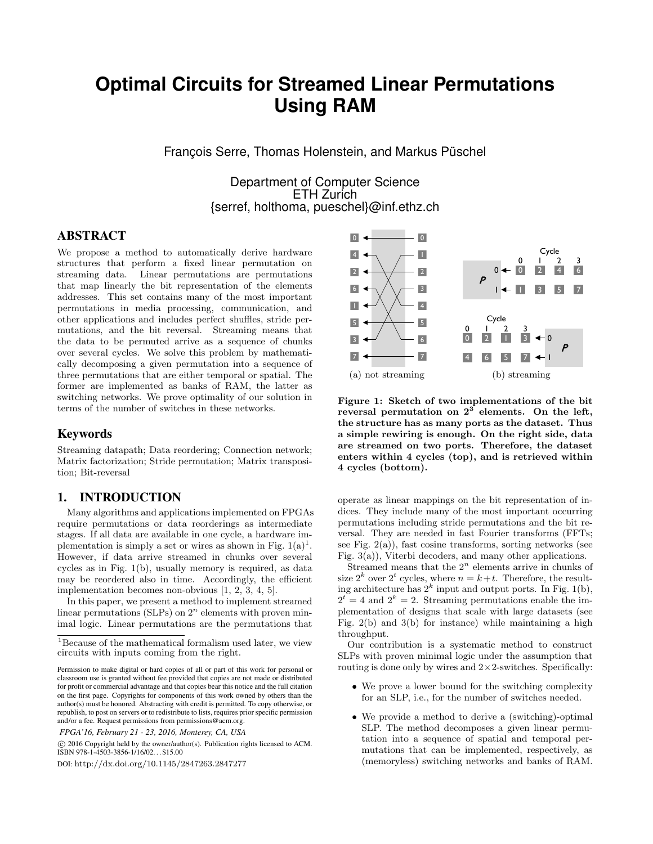# **Optimal Circuits for Streamed Linear Permutations Using RAM**

François Serre, Thomas Holenstein, and Markus Püschel

Department of Computer Science ETH Zurich {serref, holthoma, pueschel}@inf.ethz.ch

# ABSTRACT

We propose a method to automatically derive hardware structures that perform a fixed linear permutation on streaming data. Linear permutations are permutations that map linearly the bit representation of the elements addresses. This set contains many of the most important permutations in media processing, communication, and other applications and includes perfect shuffles, stride permutations, and the bit reversal. Streaming means that the data to be permuted arrive as a sequence of chunks over several cycles. We solve this problem by mathematically decomposing a given permutation into a sequence of three permutations that are either temporal or spatial. The former are implemented as banks of RAM, the latter as switching networks. We prove optimality of our solution in terms of the number of switches in these networks.

## Keywords

Streaming datapath; Data reordering; Connection network; Matrix factorization; Stride permutation; Matrix transposition; Bit-reversal

## 1. INTRODUCTION

Many algorithms and applications implemented on FPGAs require permutations or data reorderings as intermediate stages. If all data are available in one cycle, a hardware implementation is simply a set or wires as shown in Fig.  $1(a)^1$ . However, if data arrive streamed in chunks over several cycles as in Fig. 1(b), usually memory is required, as data may be reordered also in time. Accordingly, the efficient implementation becomes non-obvious [1, 2, 3, 4, 5].

In this paper, we present a method to implement streamed linear permutations (SLPs) on  $2<sup>n</sup>$  elements with proven minimal logic. Linear permutations are the permutations that

*FPGA'16, February 21 - 23, 2016, Monterey, CA, USA*

 c 2016 Copyright held by the owner/author(s). Publication rights licensed to ACM. ISBN 978-1-4503-3856-1/16/02. . . \$15.00

DOI: http://dx.doi.org/10.1145/2847263.2847277



Figure 1: Sketch of two implementations of the bit reversal permutation on  $2^3$  elements. On the left, the structure has as many ports as the dataset. Thus a simple rewiring is enough. On the right side, data are streamed on two ports. Therefore, the dataset enters within 4 cycles (top), and is retrieved within 4 cycles (bottom).

operate as linear mappings on the bit representation of indices. They include many of the most important occurring permutations including stride permutations and the bit reversal. They are needed in fast Fourier transforms (FFTs; see Fig.  $2(a)$ ), fast cosine transforms, sorting networks (see Fig. 3(a)), Viterbi decoders, and many other applications.

Streamed means that the  $2^n$  elements arrive in chunks of size  $2^k$  over  $2^t$  cycles, where  $n = k+t$ . Therefore, the resulting architecture has  $2^k$  input and output ports. In Fig. 1(b),  $2^t = 4$  and  $2^k = 2$ . Streaming permutations enable the implementation of designs that scale with large datasets (see Fig.  $2(b)$  and  $3(b)$  for instance) while maintaining a high throughput.

Our contribution is a systematic method to construct SLPs with proven minimal logic under the assumption that routing is done only by wires and  $2\times 2$ -switches. Specifically:

- We prove a lower bound for the switching complexity for an SLP, i.e., for the number of switches needed.
- We provide a method to derive a (switching)-optimal SLP. The method decomposes a given linear permutation into a sequence of spatial and temporal permutations that can be implemented, respectively, as (memoryless) switching networks and banks of RAM.

<sup>1</sup>Because of the mathematical formalism used later, we view circuits with inputs coming from the right.

Permission to make digital or hard copies of all or part of this work for personal or classroom use is granted without fee provided that copies are not made or distributed for profit or commercial advantage and that copies bear this notice and the full citation on the first page. Copyrights for components of this work owned by others than the author(s) must be honored. Abstracting with credit is permitted. To copy otherwise, or republish, to post on servers or to redistribute to lists, requires prior specific permission and/or a fee. Request permissions from permissions@acm.org.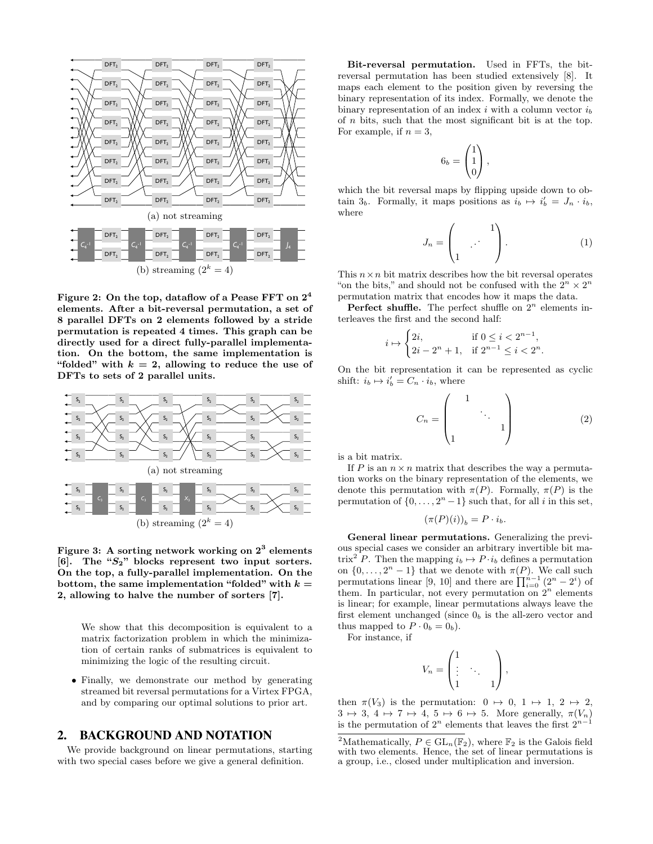

Figure 2: On the top, dataflow of a Pease FFT on 2<sup>4</sup> elements. After a bit-reversal permutation, a set of 8 parallel DFTs on 2 elements followed by a stride permutation is repeated 4 times. This graph can be directly used for a direct fully-parallel implementation. On the bottom, the same implementation is "folded" with  $k = 2$ , allowing to reduce the use of DFTs to sets of 2 parallel units.



Figure 3: A sorting network working on  $2^3$  elements [6]. The " $S_2$ " blocks represent two input sorters. On the top, a fully-parallel implementation. On the bottom, the same implementation "folded" with  $k =$ 2, allowing to halve the number of sorters [7].

We show that this decomposition is equivalent to a matrix factorization problem in which the minimization of certain ranks of submatrices is equivalent to minimizing the logic of the resulting circuit.

• Finally, we demonstrate our method by generating streamed bit reversal permutations for a Virtex FPGA, and by comparing our optimal solutions to prior art.

#### 2. BACKGROUND AND NOTATION

We provide background on linear permutations, starting with two special cases before we give a general definition.

Bit-reversal permutation. Used in FFTs, the bitreversal permutation has been studied extensively [8]. It maps each element to the position given by reversing the binary representation of its index. Formally, we denote the binary representation of an index  $i$  with a column vector  $i<sub>b</sub>$ of n bits, such that the most significant bit is at the top. For example, if  $n = 3$ ,

$$
6_b = \begin{pmatrix} 1 \\ 1 \\ 0 \end{pmatrix},
$$

which the bit reversal maps by flipping upside down to obtain  $3_b$ . Formally, it maps positions as  $i_b \mapsto i'_b = J_n \cdot i_b$ , where

$$
J_n = \begin{pmatrix} 1 \\ 1 \end{pmatrix}.
$$
 (1)

This  $n \times n$  bit matrix describes how the bit reversal operates "on the bits," and should not be confused with the  $2^n\times 2^n$ permutation matrix that encodes how it maps the data.

Perfect shuffle. The perfect shuffle on  $2^n$  elements interleaves the first and the second half:

$$
i \mapsto \begin{cases} 2i, & \text{if } 0 \le i < 2^{n-1}, \\ 2i - 2^n + 1, & \text{if } 2^{n-1} \le i < 2^n. \end{cases}
$$

On the bit representation it can be represented as cyclic shift:  $i_b \mapsto i'_b = C_n \cdot i_b$ , where

$$
C_n = \begin{pmatrix} 1 & & \\ & \ddots & \\ 1 & & 1 \end{pmatrix} \tag{2}
$$

is a bit matrix.

If P is an  $n \times n$  matrix that describes the way a permutation works on the binary representation of the elements, we denote this permutation with  $\pi(P)$ . Formally,  $\pi(P)$  is the permutation of  $\{0, \ldots, 2^n - 1\}$  such that, for all i in this set,

$$
(\pi(P)(i))_b = P \cdot i_b.
$$

General linear permutations. Generalizing the previous special cases we consider an arbitrary invertible bit matrix<sup>2</sup> P. Then the mapping  $i_b \mapsto P \cdot i_b$  defines a permutation on  $\{0, \ldots, 2^n-1\}$  that we denote with  $\pi(P)$ . We call such permutations linear [9, 10] and there are  $\prod_{i=0}^{n-1} (2^n - 2^i)$  of them. In particular, not every permutation on  $2^n$  elements is linear; for example, linear permutations always leave the first element unchanged (since  $0<sub>b</sub>$  is the all-zero vector and thus mapped to  $P \cdot 0_b = 0_b$ ).

For instance, if

$$
V_n = \begin{pmatrix} 1 & & \\ \vdots & \ddots & \\ 1 & & 1 \end{pmatrix},
$$

then  $\pi(V_3)$  is the permutation:  $0 \mapsto 0, 1 \mapsto 1, 2 \mapsto 2$ ,  $3 \mapsto 3$ ,  $4 \mapsto 7 \mapsto 4$ ,  $5 \mapsto 6 \mapsto 5$ . More generally,  $\pi(V_n)$ is the permutation of  $2^n$  elements that leaves the first  $2^{n-1}$ 

<sup>&</sup>lt;sup>2</sup>Mathematically,  $P \in GL_n(\mathbb{F}_2)$ , where  $\mathbb{F}_2$  is the Galois field with two elements. Hence, the set of linear permutations is a group, i.e., closed under multiplication and inversion.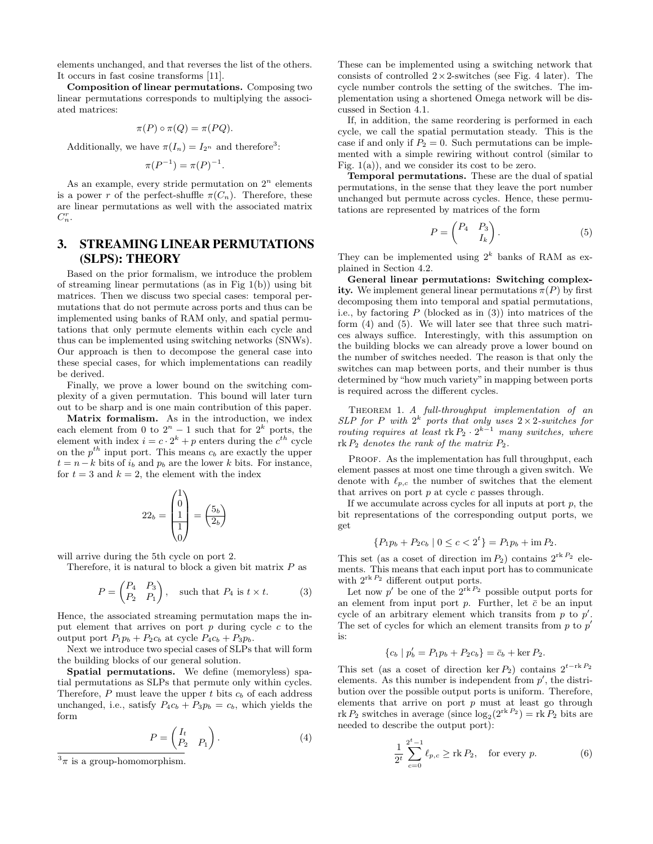elements unchanged, and that reverses the list of the others. It occurs in fast cosine transforms [11].

Composition of linear permutations. Composing two linear permutations corresponds to multiplying the associated matrices:

$$
\pi(P) \circ \pi(Q) = \pi(PQ).
$$

Additionally, we have  $\pi(I_n) = I_{2^n}$  and therefore<sup>3</sup>:

$$
\pi(P^{-1}) = \pi(P)^{-1}.
$$

As an example, every stride permutation on  $2^n$  elements is a power r of the perfect-shuffle  $\pi(C_n)$ . Therefore, these are linear permutations as well with the associated matrix  $C_n^r$ .

# 3. STREAMING LINEAR PERMUTATIONS (SLPS): THEORY

Based on the prior formalism, we introduce the problem of streaming linear permutations (as in Fig 1(b)) using bit matrices. Then we discuss two special cases: temporal permutations that do not permute across ports and thus can be implemented using banks of RAM only, and spatial permutations that only permute elements within each cycle and thus can be implemented using switching networks (SNWs). Our approach is then to decompose the general case into these special cases, for which implementations can readily be derived.

Finally, we prove a lower bound on the switching complexity of a given permutation. This bound will later turn out to be sharp and is one main contribution of this paper.

Matrix formalism. As in the introduction, we index each element from 0 to  $2^n - 1$  such that for  $2^k$  ports, the element with index  $i = c \cdot 2^k + p$  enters during the  $c^{th}$  cycle on the  $p^{th}$  input port. This means  $c_b$  are exactly the upper  $t = n - k$  bits of  $i<sub>b</sub>$  and  $p<sub>b</sub>$  are the lower k bits. For instance, for  $t = 3$  and  $k = 2$ , the element with the index

$$
22_b = \begin{pmatrix} 1 \\ 0 \\ 1 \\ 1 \\ 0 \end{pmatrix} = \begin{pmatrix} 5_b \\ 2_b \end{pmatrix}
$$

will arrive during the 5th cycle on port 2.

Therefore, it is natural to block a given bit matrix  $P$  as

$$
P = \begin{pmatrix} P_4 & P_3 \\ P_2 & P_1 \end{pmatrix}, \text{ such that } P_4 \text{ is } t \times t. \tag{3}
$$

Hence, the associated streaming permutation maps the input element that arrives on port  $p$  during cycle  $c$  to the output port  $P_1p_b + P_2c_b$  at cycle  $P_4c_b + P_3p_b$ .

Next we introduce two special cases of SLPs that will form the building blocks of our general solution.

Spatial permutations. We define (memoryless) spatial permutations as SLPs that permute only within cycles. Therefore,  $P$  must leave the upper  $t$  bits  $c_b$  of each address unchanged, i.e., satisfy  $P_4c_b + P_3p_b = c_b$ , which yields the form

$$
P = \begin{pmatrix} I_t & & \\ P_2 & P_1 \end{pmatrix} . \tag{4}
$$

These can be implemented using a switching network that consists of controlled  $2 \times 2$ -switches (see Fig. 4 later). The cycle number controls the setting of the switches. The implementation using a shortened Omega network will be discussed in Section 4.1.

If, in addition, the same reordering is performed in each cycle, we call the spatial permutation steady. This is the case if and only if  $P_2 = 0$ . Such permutations can be implemented with a simple rewiring without control (similar to Fig.  $1(a)$ , and we consider its cost to be zero.

Temporal permutations. These are the dual of spatial permutations, in the sense that they leave the port number unchanged but permute across cycles. Hence, these permutations are represented by matrices of the form

$$
P = \begin{pmatrix} P_4 & P_3 \\ I_k \end{pmatrix} . \tag{5}
$$

They can be implemented using  $2^k$  banks of RAM as explained in Section 4.2.

General linear permutations: Switching complexity. We implement general linear permutations  $\pi(P)$  by first decomposing them into temporal and spatial permutations, i.e., by factoring  $P$  (blocked as in (3)) into matrices of the form (4) and (5). We will later see that three such matrices always suffice. Interestingly, with this assumption on the building blocks we can already prove a lower bound on the number of switches needed. The reason is that only the switches can map between ports, and their number is thus determined by "how much variety"in mapping between ports is required across the different cycles.

THEOREM 1. A full-throughput implementation of an SLP for P with  $2^k$  ports that only uses  $2 \times 2$ -switches for routing requires at least  $rk P_2 \cdot 2^{k-1}$  many switches, where  $rk P_2$  denotes the rank of the matrix  $P_2$ .

PROOF. As the implementation has full throughput, each element passes at most one time through a given switch. We denote with  $\ell_{p,c}$  the number of switches that the element that arrives on port  $p$  at cycle  $c$  passes through.

If we accumulate across cycles for all inputs at port  $p$ , the bit representations of the corresponding output ports, we get

$$
\{P_1p_b + P_2c_b \mid 0 \le c < 2^t\} = P_1p_b + \text{im } P_2.
$$

This set (as a coset of direction im  $P_2$ ) contains  $2^{\text{rk }P_2}$  elements. This means that each input port has to communicate with  $2^{\text{rk }P_2}$  different output ports.

Let now  $p'$  be one of the  $2^{\text{rk }P_2}$  possible output ports for an element from input port  $p$ . Further, let  $\bar{c}$  be an input cycle of an arbitrary element which transits from  $p$  to  $p'$ . The set of cycles for which an element transits from  $p$  to  $p'$ is:

$$
\{c_b \mid p'_b = P_1 p_b + P_2 c_b\} = \bar{c}_b + \ker P_2.
$$

This set (as a coset of direction ker P<sub>2</sub>) contains  $2^{t-\text{rk }P_2}$ elements. As this number is independent from  $p'$ , the distribution over the possible output ports is uniform. Therefore, elements that arrive on port  $p$  must at least go through rk  $P_2$  switches in average (since  $\log_2(2^{\text{rk }P_2}) = \text{rk } P_2$  bits are needed to describe the output port):

$$
\frac{1}{2^t} \sum_{c=0}^{2^t-1} \ell_{p,c} \geq \text{rk } P_2, \quad \text{for every } p. \tag{6}
$$

 $3\pi$  is a group-homomorphism.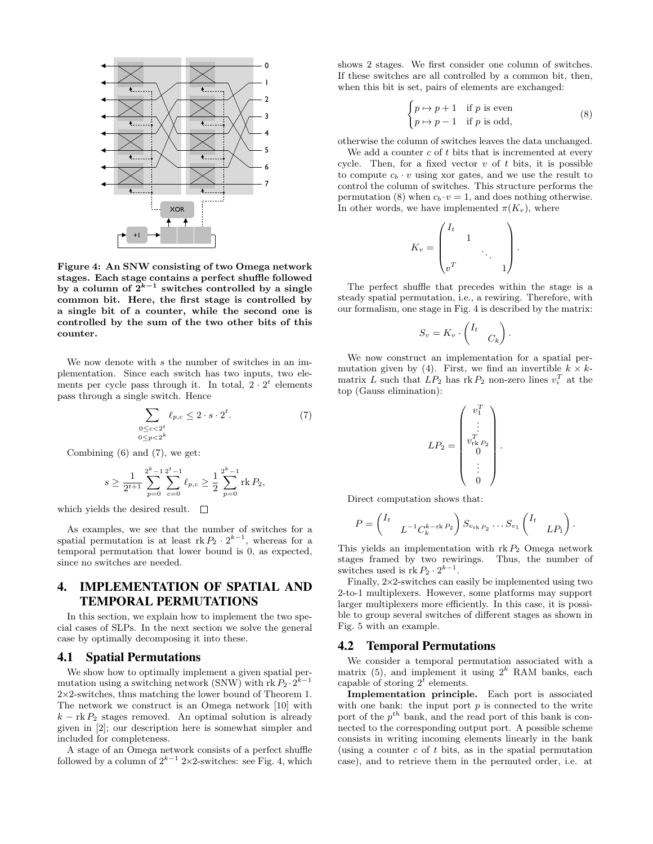

Figure 4: An SNW consisting of two Omega network stages. Each stage contains a perfect shuffle followed by a column of  $2^{k-1}$  switches controlled by a single common bit. Here, the first stage is controlled by a single bit of a counter, while the second one is controlled by the sum of the two other bits of this counter.

We now denote with s the number of switches in an implementation. Since each switch has two inputs, two elements per cycle pass through it. In total,  $2 \cdot 2^t$  elements pass through a single switch. Hence

$$
\sum_{\substack{0 \le c < 2^t \\ 0 \le p < 2^k}} \ell_{p,c} \le 2 \cdot s \cdot 2^t. \tag{7}
$$

Combining (6) and (7), we get:

$$
s \ge \frac{1}{2^{t+1}} \sum_{p=0}^{2^k-1} \sum_{c=0}^{2^t-1} \ell_{p,c} \ge \frac{1}{2} \sum_{p=0}^{2^k-1} \text{rk } P_2,
$$

which yields the desired result.  $\square$ 

As examples, we see that the number of switches for a spatial permutation is at least  $rk P_2 \cdot 2^{k-1}$ , whereas for a temporal permutation that lower bound is 0, as expected, since no switches are needed.

# 4. IMPLEMENTATION OF SPATIAL AND TEMPORAL PERMUTATIONS

In this section, we explain how to implement the two special cases of SLPs. In the next section we solve the general case by optimally decomposing it into these.

#### 4.1 Spatial Permutations

We show how to optimally implement a given spatial permutation using a switching network (SNW) with rk  $P_2 \cdot 2^{k-1}$ 2×2-switches, thus matching the lower bound of Theorem 1. The network we construct is an Omega network [10] with  $k - \text{rk } P_2$  stages removed. An optimal solution is already given in [2]; our description here is somewhat simpler and included for completeness.

A stage of an Omega network consists of a perfect shuffle followed by a column of  $2^{k-1}$  2×2-switches: see Fig. 4, which

shows 2 stages. We first consider one column of switches. If these switches are all controlled by a common bit, then, when this bit is set, pairs of elements are exchanged:

$$
\begin{cases} p \mapsto p+1 & \text{if } p \text{ is even} \\ p \mapsto p-1 & \text{if } p \text{ is odd,} \end{cases}
$$
 (8)

otherwise the column of switches leaves the data unchanged.

We add a counter  $c$  of  $t$  bits that is incremented at every cycle. Then, for a fixed vector  $v$  of  $t$  bits, it is possible to compute  $c_b \cdot v$  using xor gates, and we use the result to control the column of switches. This structure performs the permutation (8) when  $c_b \cdot v = 1$ , and does nothing otherwise. In other words, we have implemented  $\pi(K_v)$ , where

$$
K_v = \begin{pmatrix} I_t & & & \\ & 1 & & \\ & & \ddots & \\ v^T & & & 1 \end{pmatrix}.
$$

The perfect shuffle that precedes within the stage is a steady spatial permutation, i.e., a rewiring. Therefore, with our formalism, one stage in Fig. 4 is described by the matrix:

$$
S_v = K_v \cdot \begin{pmatrix} I_t & & \\ & C_k \end{pmatrix}.
$$

We now construct an implementation for a spatial permutation given by (4). First, we find an invertible  $k \times k$ matrix L such that  $LP_2$  has rk  $P_2$  non-zero lines  $v_i^T$  at the top (Gauss elimination):

$$
LP_2 = \begin{pmatrix} v_1^T \\ \vdots \\ v_{\text{rk}, P_2}^T \\ 0 \\ \vdots \\ 0 \end{pmatrix}.
$$

Direct computation shows that:

$$
P = \begin{pmatrix} I_t & & \\ & L^{-1}C_k^{k-\text{rk }P_2} \end{pmatrix} S_{v_{\text{rk }P_2}} \dots S_{v_1} \begin{pmatrix} I_t & \\ & L P_1 \end{pmatrix}.
$$

This yields an implementation with  $rk P_2$  Omega network stages framed by two rewirings. Thus, the number of switches used is  $rk P_2 \cdot 2^{k-1}$ .

Finally, 2×2-switches can easily be implemented using two 2-to-1 multiplexers. However, some platforms may support larger multiplexers more efficiently. In this case, it is possible to group several switches of different stages as shown in Fig. 5 with an example.

#### 4.2 Temporal Permutations

We consider a temporal permutation associated with a matrix (5), and implement it using  $2^k$  RAM banks, each capable of storing  $2^{\overline{t}}$  elements.

Implementation principle. Each port is associated with one bank: the input port  $p$  is connected to the write port of the  $p^{th}$  bank, and the read port of this bank is connected to the corresponding output port. A possible scheme consists in writing incoming elements linearly in the bank (using a counter  $c$  of  $t$  bits, as in the spatial permutation case), and to retrieve them in the permuted order, i.e. at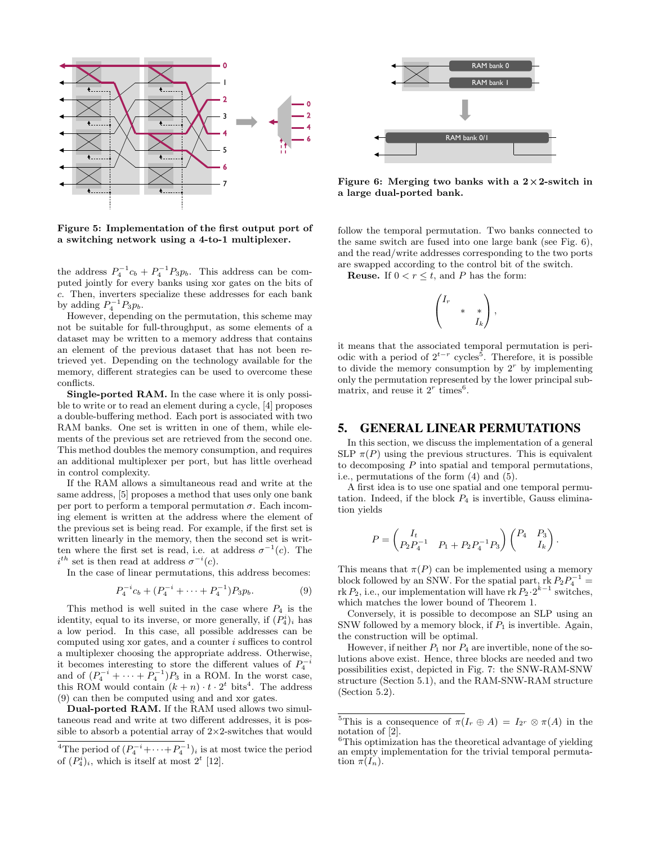

Figure 5: Implementation of the first output port of a switching network using a 4-to-1 multiplexer.

the address  $P_4^{-1}c_b + P_4^{-1}P_3p_b$ . This address can be computed jointly for every banks using xor gates on the bits of c. Then, inverters specialize these addresses for each bank by adding  $P_4^{-1}P_3p_b$ .

However, depending on the permutation, this scheme may not be suitable for full-throughput, as some elements of a dataset may be written to a memory address that contains an element of the previous dataset that has not been retrieved yet. Depending on the technology available for the memory, different strategies can be used to overcome these conflicts.

Single-ported RAM. In the case where it is only possible to write or to read an element during a cycle, [4] proposes a double-buffering method. Each port is associated with two RAM banks. One set is written in one of them, while elements of the previous set are retrieved from the second one. This method doubles the memory consumption, and requires an additional multiplexer per port, but has little overhead in control complexity.

If the RAM allows a simultaneous read and write at the same address, [5] proposes a method that uses only one bank per port to perform a temporal permutation  $\sigma$ . Each incoming element is written at the address where the element of the previous set is being read. For example, if the first set is written linearly in the memory, then the second set is written where the first set is read, i.e. at address  $\sigma^{-1}(c)$ . The  $i^{th}$  set is then read at address  $\sigma^{-i}(c)$ .

In the case of linear permutations, this address becomes:

$$
P_4^{-i}c_b + (P_4^{-i} + \dots + P_4^{-1})P_3p_b.
$$
 (9)

This method is well suited in the case where  $P_4$  is the identity, equal to its inverse, or more generally, if  $(P_4^i)_i$  has a low period. In this case, all possible addresses can be computed using xor gates, and a counter  $i$  suffices to control a multiplexer choosing the appropriate address. Otherwise, it becomes interesting to store the different values of  $P_4^{-i}$  and of  $(P_4^{-i} + \cdots + P_4^{-1})P_3$  in a ROM. In the worst case, this ROM would contain  $(k+n) \cdot t \cdot 2^t$  bits<sup>4</sup>. The address (9) can then be computed using and and xor gates.

Dual-ported RAM. If the RAM used allows two simultaneous read and write at two different addresses, it is possible to absorb a potential array of  $2\times2$ -switches that would



Figure 6: Merging two banks with a  $2 \times 2$ -switch in a large dual-ported bank.

follow the temporal permutation. Two banks connected to the same switch are fused into one large bank (see Fig. 6), and the read/write addresses corresponding to the two ports are swapped according to the control bit of the switch.

**Reuse.** If  $0 < r \leq t$ , and P has the form:

$$
\begin{pmatrix} I_r & & \\ & * & * \\ & & I_k \end{pmatrix},
$$

it means that the associated temporal permutation is periodic with a period of  $2^{t-r}$  cycles<sup>5</sup>. Therefore, it is possible to divide the memory consumption by  $2<sup>r</sup>$  by implementing only the permutation represented by the lower principal submatrix, and reuse it  $2^r$  times<sup>6</sup>.

#### 5. GENERAL LINEAR PERMUTATIONS

In this section, we discuss the implementation of a general SLP  $\pi(P)$  using the previous structures. This is equivalent to decomposing  $P$  into spatial and temporal permutations, i.e., permutations of the form (4) and (5).

A first idea is to use one spatial and one temporal permutation. Indeed, if the block  $P_4$  is invertible, Gauss elimination yields

$$
P = \begin{pmatrix} I_t & 0 \\ P_2 P_4^{-1} & P_1 + P_2 P_4^{-1} P_3 \end{pmatrix} \begin{pmatrix} P_4 & P_3 \\ I_k \end{pmatrix}.
$$

This means that  $\pi(P)$  can be implemented using a memory block followed by an SNW. For the spatial part,  $\text{rk } P_2 P_4^{-1} =$ rk  $P_2$ , i.e., our implementation will have rk  $P_2 \cdot 2^{k-1}$  switches, which matches the lower bound of Theorem 1.

Conversely, it is possible to decompose an SLP using an SNW followed by a memory block, if  $P_1$  is invertible. Again, the construction will be optimal.

However, if neither  $P_1$  nor  $P_4$  are invertible, none of the solutions above exist. Hence, three blocks are needed and two possibilities exist, depicted in Fig. 7: the SNW-RAM-SNW structure (Section 5.1), and the RAM-SNW-RAM structure (Section 5.2).

<sup>&</sup>lt;sup>4</sup>The period of  $(P_4^{-i} + \cdots + P_4^{-1})_i$  is at most twice the period of  $(P_4^i)_i$ , which is itself at most  $2^t$  [12].

<sup>&</sup>lt;sup>5</sup>This is a consequence of  $\pi(I_r \oplus A) = I_{2r} \otimes \pi(A)$  in the notation of [2].

 ${}^{6}$ This optimization has the theoretical advantage of yielding an empty implementation for the trivial temporal permutation  $\pi(I_n)$ .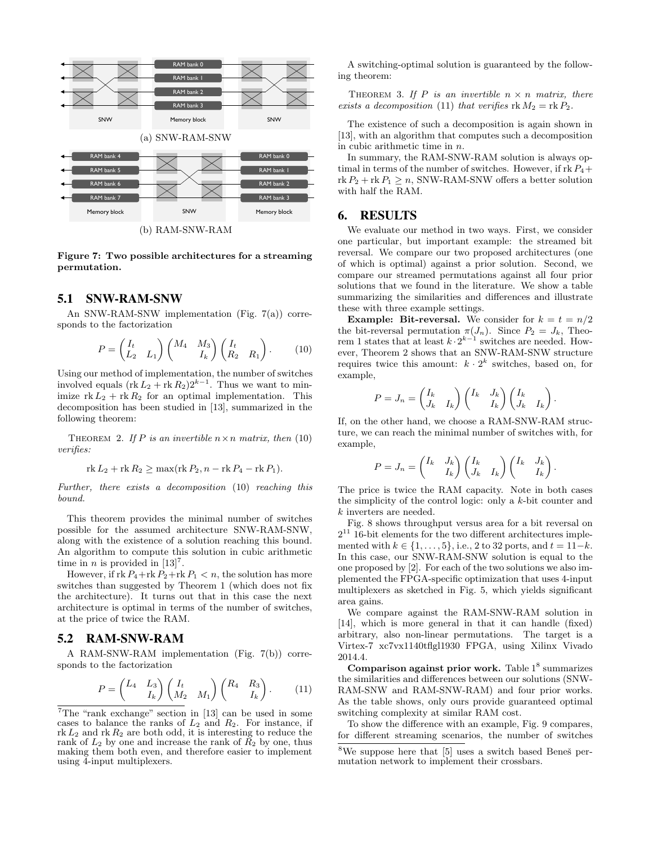

Figure 7: Two possible architectures for a streaming permutation.

## 5.1 SNW-RAM-SNW

An SNW-RAM-SNW implementation (Fig. 7(a)) corresponds to the factorization

$$
P = \begin{pmatrix} I_t & 0 \\ L_2 & L_1 \end{pmatrix} \begin{pmatrix} M_4 & M_3 \\ & I_k \end{pmatrix} \begin{pmatrix} I_t & 0 \\ R_2 & R_1 \end{pmatrix} . \tag{10}
$$

Using our method of implementation, the number of switches involved equals  $(\text{rk } L_2 + \text{rk } R_2)2^{k-1}$ . Thus we want to minimize  $rk L_2 + rk R_2$  for an optimal implementation. This decomposition has been studied in [13], summarized in the following theorem:

THEOREM 2. If P is an invertible  $n \times n$  matrix, then (10) verifies:

$$
rk L_2 + rk R_2 \ge \max(rk P_2, n - rk P_4 - rk P_1).
$$

Further, there exists a decomposition (10) reaching this bound.

This theorem provides the minimal number of switches possible for the assumed architecture SNW-RAM-SNW, along with the existence of a solution reaching this bound. An algorithm to compute this solution in cubic arithmetic time in *n* is provided in  $[13]^{7}$ .

However, if  $rk P_4 + rk P_2 + rk P_1 < n$ , the solution has more switches than suggested by Theorem 1 (which does not fix the architecture). It turns out that in this case the next architecture is optimal in terms of the number of switches, at the price of twice the RAM.

## 5.2 RAM-SNW-RAM

A RAM-SNW-RAM implementation (Fig. 7(b)) corresponds to the factorization

$$
P = \begin{pmatrix} L_4 & L_3 \\ & I_k \end{pmatrix} \begin{pmatrix} I_t & & \\ M_2 & M_1 \end{pmatrix} \begin{pmatrix} R_4 & R_3 \\ & I_k \end{pmatrix} . \tag{11}
$$

A switching-optimal solution is guaranteed by the following theorem:

THEOREM 3. If P is an invertible  $n \times n$  matrix, there exists a decomposition (11) that verifies  $rk M_2 = rk P_2$ .

The existence of such a decomposition is again shown in [13], with an algorithm that computes such a decomposition in cubic arithmetic time in n.

In summary, the RAM-SNW-RAM solution is always optimal in terms of the number of switches. However, if  $rk P_4 +$  $r k P_2 + r k P_1 > n$ , SNW-RAM-SNW offers a better solution with half the RAM.

### 6. RESULTS

We evaluate our method in two ways. First, we consider one particular, but important example: the streamed bit reversal. We compare our two proposed architectures (one of which is optimal) against a prior solution. Second, we compare our streamed permutations against all four prior solutions that we found in the literature. We show a table summarizing the similarities and differences and illustrate these with three example settings.

**Example: Bit-reversal.** We consider for  $k = t = n/2$ the bit-reversal permutation  $\pi(J_n)$ . Since  $P_2 = J_k$ , Theorem 1 states that at least  $k \cdot 2^{k-1}$  switches are needed. However, Theorem 2 shows that an SNW-RAM-SNW structure requires twice this amount:  $k \cdot 2^k$  switches, based on, for example,

$$
P = J_n = \begin{pmatrix} I_k & I_k \end{pmatrix} \begin{pmatrix} I_k & J_k \end{pmatrix} \begin{pmatrix} I_k & I_k \end{pmatrix}.
$$

If, on the other hand, we choose a RAM-SNW-RAM structure, we can reach the minimal number of switches with, for example,

$$
P = J_n = \begin{pmatrix} I_k & J_k \\ & I_k \end{pmatrix} \begin{pmatrix} I_k & \\ J_k & I_k \end{pmatrix} \begin{pmatrix} I_k & J_k \\ & I_k \end{pmatrix}
$$

.

The price is twice the RAM capacity. Note in both cases the simplicity of the control logic: only a k-bit counter and k inverters are needed.

Fig. 8 shows throughput versus area for a bit reversal on  $2^{11}$  16-bit elements for the two different architectures implemented with  $k \in \{1, \ldots, 5\}$ , i.e., 2 to 32 ports, and  $t = 11-k$ . In this case, our SNW-RAM-SNW solution is equal to the one proposed by [2]. For each of the two solutions we also implemented the FPGA-specific optimization that uses 4-input multiplexers as sketched in Fig. 5, which yields significant area gains.

We compare against the RAM-SNW-RAM solution in [14], which is more general in that it can handle (fixed) arbitrary, also non-linear permutations. The target is a Virtex-7 xc7vx1140tflgl1930 FPGA, using Xilinx Vivado 2014.4.

Comparison against prior work. Table  $1<sup>8</sup>$  summarizes the similarities and differences between our solutions (SNW-RAM-SNW and RAM-SNW-RAM) and four prior works. As the table shows, only ours provide guaranteed optimal switching complexity at similar RAM cost.

To show the difference with an example, Fig. 9 compares, for different streaming scenarios, the number of switches

 $7$ The "rank exchange" section in [13] can be used in some cases to balance the ranks of  $L_2$  and  $R_2$ . For instance, if  $rk L_2$  and  $rk R_2$  are both odd, it is interesting to reduce the rank of  $L_2$  by one and increase the rank of  $R_2$  by one, thus making them both even, and therefore easier to implement using 4-input multiplexers.

 $8$ We suppose here that [5] uses a switch based Benes<sup>s</sup> permutation network to implement their crossbars.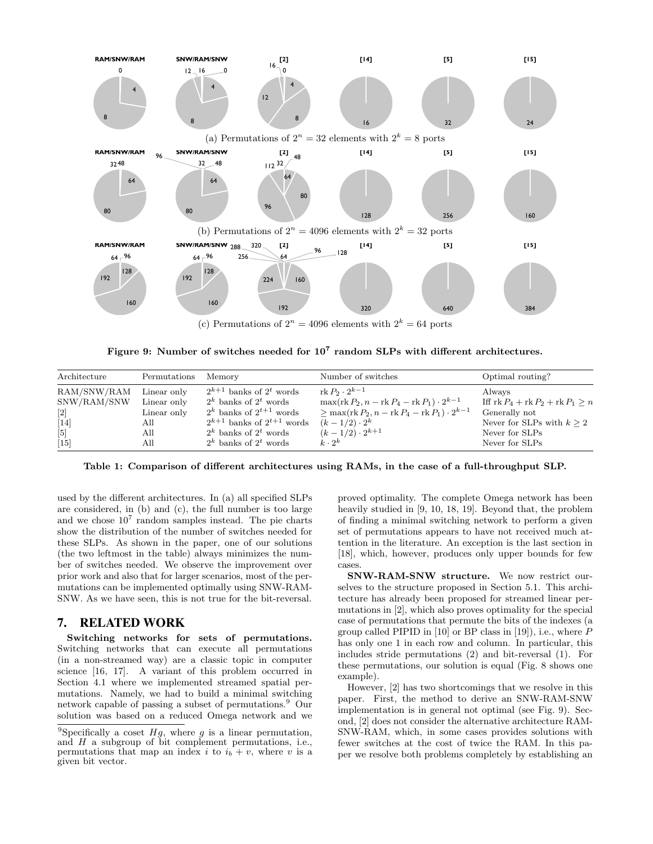

Figure 9: Number of switches needed for  $10^7$  random SLPs with different architectures.

| Architecture      | Permutations | Memory                             | Number of switches                                                        | Optimal routing?                   |
|-------------------|--------------|------------------------------------|---------------------------------------------------------------------------|------------------------------------|
| RAM/SNW/RAM       | Linear only  | $2^{k+1}$ banks of $2^t$ words     | rk $P_2 \cdot 2^{k-1}$                                                    | Always                             |
| SNW/RAM/SNW       | Linear only  | $2^k$ banks of $2^t$ words         | $\max(\text{rk } P_2, n - \text{rk } P_4 - \text{rk } P_1) \cdot 2^{k-1}$ | Iff $rk P_4 + rk P_2 + rk P_1 > n$ |
| $\lceil 2 \rceil$ | Linear only  | $2^k$ banks of $2^{t+1}$ words     | $\geq$ max(rk $P_2$ , n – rk $P_4$ – rk $P_1$ ) · $2^{k-1}$               | Generally not                      |
| $[14]$            | All          | $2^{k+1}$ banks of $2^{t+1}$ words | $(k - 1/2) \cdot 2^k$                                                     | Never for SLPs with $k > 2$        |
| $\lceil 5 \rceil$ | All          | $2^k$ banks of $2^t$ words         | $(k-1/2) \cdot 2^{k+1}$                                                   | Never for SLPs                     |
| $[15]$            | All          | $2^k$ banks of $2^t$ words         | $k \cdot 2^k$                                                             | Never for SLPs                     |

Table 1: Comparison of different architectures using RAMs, in the case of a full-throughput SLP.

used by the different architectures. In (a) all specified SLPs are considered, in (b) and (c), the full number is too large and we chose  $10<sup>7</sup>$  random samples instead. The pie charts show the distribution of the number of switches needed for these SLPs. As shown in the paper, one of our solutions (the two leftmost in the table) always minimizes the number of switches needed. We observe the improvement over prior work and also that for larger scenarios, most of the permutations can be implemented optimally using SNW-RAM-SNW. As we have seen, this is not true for the bit-reversal.

## 7. RELATED WORK

Switching networks for sets of permutations. Switching networks that can execute all permutations (in a non-streamed way) are a classic topic in computer science [16, 17]. A variant of this problem occurred in Section 4.1 where we implemented streamed spatial permutations. Namely, we had to build a minimal switching network capable of passing a subset of permutations.<sup>9</sup> Our solution was based on a reduced Omega network and we proved optimality. The complete Omega network has been heavily studied in [9, 10, 18, 19]. Beyond that, the problem of finding a minimal switching network to perform a given set of permutations appears to have not received much attention in the literature. An exception is the last section in [18], which, however, produces only upper bounds for few cases.

SNW-RAM-SNW structure. We now restrict ourselves to the structure proposed in Section 5.1. This architecture has already been proposed for streamed linear permutations in [2], which also proves optimality for the special case of permutations that permute the bits of the indexes (a group called PIPID in  $[10]$  or BP class in  $[19]$ ), i.e., where P has only one 1 in each row and column. In particular, this includes stride permutations (2) and bit-reversal (1). For these permutations, our solution is equal (Fig. 8 shows one example).

However, [2] has two shortcomings that we resolve in this paper. First, the method to derive an SNW-RAM-SNW implementation is in general not optimal (see Fig. 9). Second, [2] does not consider the alternative architecture RAM-SNW-RAM, which, in some cases provides solutions with fewer switches at the cost of twice the RAM. In this paper we resolve both problems completely by establishing an

<sup>&</sup>lt;sup>9</sup>Specifically a coset  $Hg$ , where g is a linear permutation, and  $H$  a subgroup of bit complement permutations, i.e., permutations that map an index i to  $i<sub>b</sub> + v$ , where v is a given bit vector.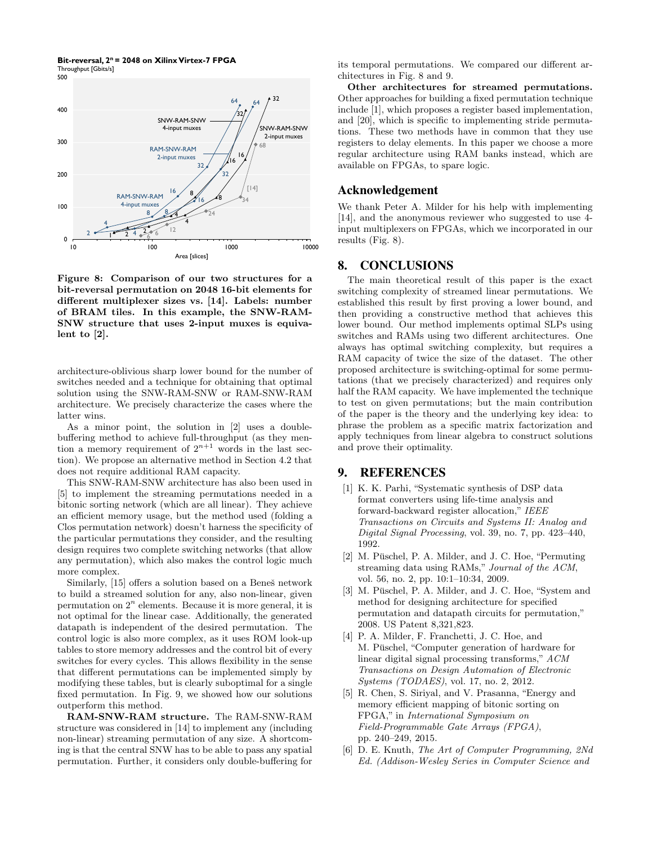**Bit-reversal, 2n = 2048 on Xilinx Virtex-7 FPGA** Throughput [Gbits/s]



Figure 8: Comparison of our two structures for a bit-reversal permutation on 2048 16-bit elements for different multiplexer sizes vs. [14]. Labels: number of BRAM tiles. In this example, the SNW-RAM-SNW structure that uses 2-input muxes is equivalent to [2].

architecture-oblivious sharp lower bound for the number of switches needed and a technique for obtaining that optimal solution using the SNW-RAM-SNW or RAM-SNW-RAM architecture. We precisely characterize the cases where the latter wins.

As a minor point, the solution in [2] uses a doublebuffering method to achieve full-throughput (as they mention a memory requirement of  $2^{n+1}$  words in the last section). We propose an alternative method in Section 4.2 that does not require additional RAM capacity.

This SNW-RAM-SNW architecture has also been used in [5] to implement the streaming permutations needed in a bitonic sorting network (which are all linear). They achieve an efficient memory usage, but the method used (folding a Clos permutation network) doesn't harness the specificity of the particular permutations they consider, and the resulting design requires two complete switching networks (that allow any permutation), which also makes the control logic much more complex.

Similarly, [15] offers a solution based on a Beneš network to build a streamed solution for any, also non-linear, given permutation on  $2^n$  elements. Because it is more general, it is not optimal for the linear case. Additionally, the generated datapath is independent of the desired permutation. The control logic is also more complex, as it uses ROM look-up tables to store memory addresses and the control bit of every switches for every cycles. This allows flexibility in the sense that different permutations can be implemented simply by modifying these tables, but is clearly suboptimal for a single fixed permutation. In Fig. 9, we showed how our solutions outperform this method.

RAM-SNW-RAM structure. The RAM-SNW-RAM structure was considered in [14] to implement any (including non-linear) streaming permutation of any size. A shortcoming is that the central SNW has to be able to pass any spatial permutation. Further, it considers only double-buffering for

its temporal permutations. We compared our different architectures in Fig. 8 and 9.

Other architectures for streamed permutations. Other approaches for building a fixed permutation technique include [1], which proposes a register based implementation, and [20], which is specific to implementing stride permutations. These two methods have in common that they use registers to delay elements. In this paper we choose a more regular architecture using RAM banks instead, which are available on FPGAs, to spare logic.

## Acknowledgement

We thank Peter A. Milder for his help with implementing [14], and the anonymous reviewer who suggested to use 4 input multiplexers on FPGAs, which we incorporated in our results (Fig. 8).

# 8. CONCLUSIONS

The main theoretical result of this paper is the exact switching complexity of streamed linear permutations. We established this result by first proving a lower bound, and then providing a constructive method that achieves this lower bound. Our method implements optimal SLPs using switches and RAMs using two different architectures. One always has optimal switching complexity, but requires a RAM capacity of twice the size of the dataset. The other proposed architecture is switching-optimal for some permutations (that we precisely characterized) and requires only half the RAM capacity. We have implemented the technique to test on given permutations; but the main contribution of the paper is the theory and the underlying key idea: to phrase the problem as a specific matrix factorization and apply techniques from linear algebra to construct solutions and prove their optimality.

## 9. REFERENCES

- [1] K. K. Parhi, "Systematic synthesis of DSP data format converters using life-time analysis and forward-backward register allocation," IEEE Transactions on Circuits and Systems II: Analog and Digital Signal Processing, vol. 39, no. 7, pp. 423–440, 1992.
- [2] M. Püschel, P. A. Milder, and J. C. Hoe, "Permuting streaming data using RAMs," Journal of the ACM, vol. 56, no. 2, pp. 10:1–10:34, 2009.
- [3] M. Püschel, P. A. Milder, and J. C. Hoe, "System and method for designing architecture for specified permutation and datapath circuits for permutation," 2008. US Patent 8,321,823.
- [4] P. A. Milder, F. Franchetti, J. C. Hoe, and M. Püschel, "Computer generation of hardware for linear digital signal processing transforms," ACM Transactions on Design Automation of Electronic Systems (TODAES), vol. 17, no. 2, 2012.
- [5] R. Chen, S. Siriyal, and V. Prasanna, "Energy and memory efficient mapping of bitonic sorting on FPGA," in International Symposium on Field-Programmable Gate Arrays (FPGA), pp. 240–249, 2015.
- [6] D. E. Knuth, The Art of Computer Programming, 2Nd Ed. (Addison-Wesley Series in Computer Science and